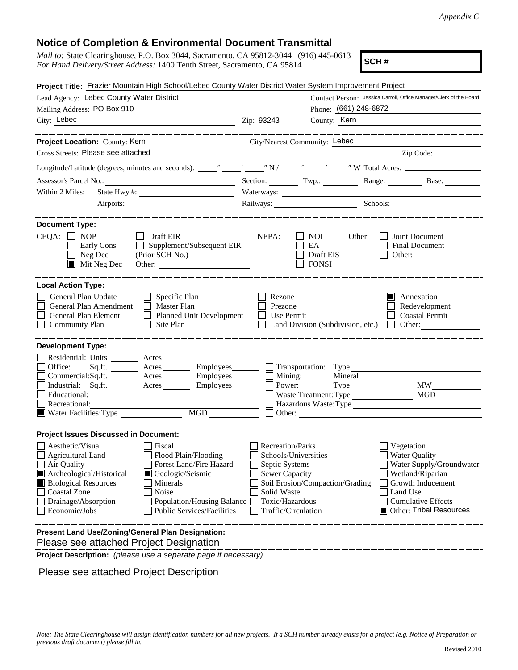### Notice of Completion & Environmental Document Transmittal

| <i>Mail to:</i> State Clearinghouse, P.O. Box 3044, Sacramento, CA 95812-3044 (916) 445-0613<br>For Hand Delivery/Street Address: 1400 Tenth Street, Sacramento, CA 95814                                                                                                                                                                               |                                                                                                                                                                                        | SCH#                                                                                                                                                                                                                                                                                                                                                                                                                                                                            |
|---------------------------------------------------------------------------------------------------------------------------------------------------------------------------------------------------------------------------------------------------------------------------------------------------------------------------------------------------------|----------------------------------------------------------------------------------------------------------------------------------------------------------------------------------------|---------------------------------------------------------------------------------------------------------------------------------------------------------------------------------------------------------------------------------------------------------------------------------------------------------------------------------------------------------------------------------------------------------------------------------------------------------------------------------|
| Project Title: Frazier Mountain High School/Lebec County Water District Water System Improvement Project                                                                                                                                                                                                                                                |                                                                                                                                                                                        |                                                                                                                                                                                                                                                                                                                                                                                                                                                                                 |
| Lead Agency: Lebec County Water District                                                                                                                                                                                                                                                                                                                |                                                                                                                                                                                        | Contact Person: Jessica Carroll, Office Manager/Clerk of the Board                                                                                                                                                                                                                                                                                                                                                                                                              |
| Mailing Address: PO Box 910                                                                                                                                                                                                                                                                                                                             | Phone: (661) 248-6872                                                                                                                                                                  |                                                                                                                                                                                                                                                                                                                                                                                                                                                                                 |
| City: Lebec                                                                                                                                                                                                                                                                                                                                             | County: Kern<br>Zip: 93243                                                                                                                                                             |                                                                                                                                                                                                                                                                                                                                                                                                                                                                                 |
| ----------------<br>Project Location: County: Kern                                                                                                                                                                                                                                                                                                      | City/Nearest Community: Lebec                                                                                                                                                          | -----------------                                                                                                                                                                                                                                                                                                                                                                                                                                                               |
| Cross Streets: Please see attached                                                                                                                                                                                                                                                                                                                      |                                                                                                                                                                                        | $\overline{\phantom{a}}$ $\overline{\phantom{a}}$ $\overline{\phantom{a}}$ $\overline{\phantom{a}}$ $\overline{\phantom{a}}$ $\overline{\phantom{a}}$ $\overline{\phantom{a}}$ $\overline{\phantom{a}}$ $\overline{\phantom{a}}$ $\overline{\phantom{a}}$ $\overline{\phantom{a}}$ $\overline{\phantom{a}}$ $\overline{\phantom{a}}$ $\overline{\phantom{a}}$ $\overline{\phantom{a}}$ $\overline{\phantom{a}}$ $\overline{\phantom{a}}$ $\overline{\phantom{a}}$ $\overline{\$ |
|                                                                                                                                                                                                                                                                                                                                                         |                                                                                                                                                                                        |                                                                                                                                                                                                                                                                                                                                                                                                                                                                                 |
| Assessor's Parcel No.: <b>Example 2</b> Section: <b>Example 2</b> Section: <b>Example 2</b> Contract 2 Contract 2 Contract 2 Contract 2 Contract 2 Contract 2 Contract 2 Contract 2 Contract 2 Contract 2 Contract 2 Contract 2 Contract 2 Co                                                                                                           |                                                                                                                                                                                        |                                                                                                                                                                                                                                                                                                                                                                                                                                                                                 |
| Within 2 Miles:                                                                                                                                                                                                                                                                                                                                         |                                                                                                                                                                                        |                                                                                                                                                                                                                                                                                                                                                                                                                                                                                 |
|                                                                                                                                                                                                                                                                                                                                                         | Railways: Schools: Schools:                                                                                                                                                            |                                                                                                                                                                                                                                                                                                                                                                                                                                                                                 |
|                                                                                                                                                                                                                                                                                                                                                         |                                                                                                                                                                                        |                                                                                                                                                                                                                                                                                                                                                                                                                                                                                 |
| <b>Document Type:</b><br>$CEQA: \Box NP$<br>$\Box$ Draft EIR<br>$\Box$ Supplement/Subsequent EIR<br><b>Early Cons</b><br>$\Box$ Neg Dec<br>$\blacksquare$ Mit Neg Dec                                                                                                                                                                                   | NEPA:<br>$\blacksquare$ NOI<br>Other:<br>EA<br><b>Draft EIS</b><br>$\Box$ FONSI                                                                                                        | Joint Document<br>Final Document<br>Other:                                                                                                                                                                                                                                                                                                                                                                                                                                      |
| <b>Local Action Type:</b>                                                                                                                                                                                                                                                                                                                               |                                                                                                                                                                                        |                                                                                                                                                                                                                                                                                                                                                                                                                                                                                 |
| General Plan Update<br>$\Box$ Specific Plan<br>General Plan Amendment   Master Plan<br>General Plan Element<br>Planned Unit Development<br><b>Community Plan</b><br>$\Box$ Site Plan                                                                                                                                                                    | Rezone<br>Prezone<br>Use Permit<br>$\perp$<br>$\Box$ Land Division (Subdivision, etc.) $\Box$ Other:                                                                                   | Annexation<br>Redevelopment<br><b>Coastal Permit</b>                                                                                                                                                                                                                                                                                                                                                                                                                            |
| <b>Development Type:</b><br>Residential: Units ________ Acres _______<br>Office:<br>Sq.fit.<br>Commercial:Sq.ft. Acres<br>$Employes$ <sub>_________</sub><br>Industrial: Sq.ft. _______ Acres ______<br>Employees<br>$\Box$ Educational:<br><u> 2002 - Jan Samuel Barbara, menyebara</u><br>Recreational:<br>MGD<br>Water Facilities: Type              | Acres Employees Transportation: Type<br>Mining:<br>Mineral<br>Power:                                                                                                                   | <b>MW</b><br>Waste Treatment: Type MGD<br>Hazardous Waste: Type<br>Other:                                                                                                                                                                                                                                                                                                                                                                                                       |
| <b>Project Issues Discussed in Document:</b>                                                                                                                                                                                                                                                                                                            |                                                                                                                                                                                        |                                                                                                                                                                                                                                                                                                                                                                                                                                                                                 |
| Aesthetic/Visual<br>Fiscal<br><b>Agricultural Land</b><br>Flood Plain/Flooding<br>Forest Land/Fire Hazard<br>Air Quality<br>Archeological/Historical<br>Geologic/Seismic<br><b>Biological Resources</b><br>Minerals<br>Coastal Zone<br>Noise<br>Drainage/Absorption<br><b>Population/Housing Balance</b><br>Economic/Jobs<br>Public Services/Facilities | <b>Recreation/Parks</b><br>Schools/Universities<br>Septic Systems<br><b>Sewer Capacity</b><br>Soil Erosion/Compaction/Grading<br>Solid Waste<br>Toxic/Hazardous<br>Traffic/Circulation | Vegetation<br><b>Water Quality</b><br>Water Supply/Groundwater<br>Wetland/Riparian<br>Growth Inducement<br>Land Use<br><b>Cumulative Effects</b><br><b>Other: Tribal Resources</b>                                                                                                                                                                                                                                                                                              |
| Present Land Use/Zoning/General Plan Designation:<br>Please see attached Project Designation<br>Project Description: (please use a separate page if necessary)<br>Please see attached Project Description                                                                                                                                               |                                                                                                                                                                                        |                                                                                                                                                                                                                                                                                                                                                                                                                                                                                 |
| Note: The State Clearinghouse will assign identification numbers for all new projects. If a SCH number already exists for a project (e.g. Notice of Preparation or<br>previous draft document) please fill in.                                                                                                                                          |                                                                                                                                                                                        | Revised 2010                                                                                                                                                                                                                                                                                                                                                                                                                                                                    |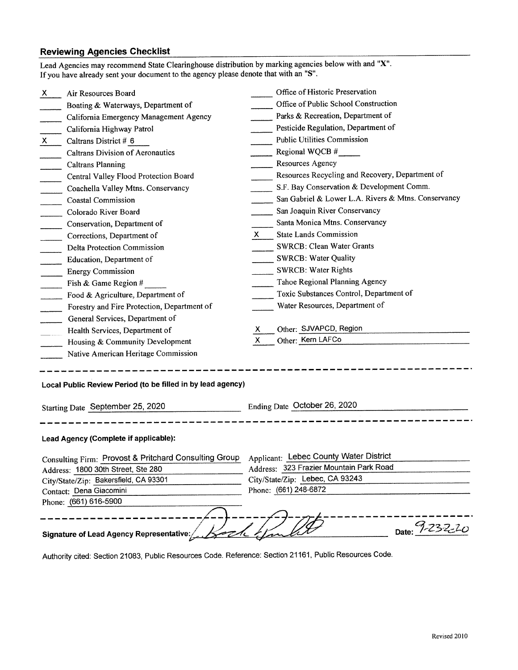# .<br>Reviewing Agencies Checklist Reviewing Agencies Checklist<br>Lead Agencies may recommend State Clearinghouse distribution by marking agencies below with and "X".

| Lead Agencies may recommend State Clearinghouse distribution by marking agencies below with and "X".<br>If you have already sent your document to the agency please denote that with an "S". |                                                     |  |  |
|----------------------------------------------------------------------------------------------------------------------------------------------------------------------------------------------|-----------------------------------------------------|--|--|
| Air Resources Board<br>X.                                                                                                                                                                    | Office of Historic Preservation                     |  |  |
| Boating & Waterways, Department of                                                                                                                                                           | Office of Public School Construction                |  |  |
| California Emergency Management Agency                                                                                                                                                       | Parks & Recreation, Department of                   |  |  |
| California Highway Patrol                                                                                                                                                                    | Pesticide Regulation, Department of                 |  |  |
| Caltrans District # 6<br>X.                                                                                                                                                                  | <b>Public Utilities Commission</b>                  |  |  |
| <b>Caltrans Division of Aeronautics</b>                                                                                                                                                      | Regional WQCB $#$                                   |  |  |
| <b>Caltrans Planning</b>                                                                                                                                                                     | Resources Agency                                    |  |  |
| Central Valley Flood Protection Board                                                                                                                                                        | Resources Recycling and Recovery, Department of     |  |  |
| Coachella Valley Mtns. Conservancy                                                                                                                                                           | S.F. Bay Conservation & Development Comm.           |  |  |
| <b>Coastal Commission</b>                                                                                                                                                                    | San Gabriel & Lower L.A. Rivers & Mtns. Conservancy |  |  |
| Colorado River Board                                                                                                                                                                         | San Joaquin River Conservancy                       |  |  |
| Conservation, Department of                                                                                                                                                                  | Santa Monica Mtns. Conservancy                      |  |  |
| Corrections, Department of                                                                                                                                                                   | <b>State Lands Commission</b><br>X.                 |  |  |
| Delta Protection Commission                                                                                                                                                                  | SWRCB: Clean Water Grants                           |  |  |
| Education, Department of                                                                                                                                                                     | <b>SWRCB: Water Quality</b>                         |  |  |
| <b>Energy Commission</b>                                                                                                                                                                     | <b>SWRCB: Water Rights</b>                          |  |  |
| Fish & Game Region #                                                                                                                                                                         | Tahoe Regional Planning Agency                      |  |  |
| Food & Agriculture, Department of                                                                                                                                                            | Toxic Substances Control, Department of             |  |  |
| Forestry and Fire Protection, Department of                                                                                                                                                  | Water Resources, Department of                      |  |  |
| General Services, Department of                                                                                                                                                              |                                                     |  |  |
| Health Services, Department of                                                                                                                                                               | Other: SJVAPCD, Region<br>Х                         |  |  |
| Housing & Community Development                                                                                                                                                              | $\mathsf{X}$<br>Other: Kern LAFCo                   |  |  |
| Native American Heritage Commission                                                                                                                                                          |                                                     |  |  |
| Local Public Review Period (to be filled in by lead agency)<br>Starting Date September 25, 2020                                                                                              | Ending Date October 26, 2020                        |  |  |
|                                                                                                                                                                                              |                                                     |  |  |
| Lead Agency (Complete if applicable):                                                                                                                                                        |                                                     |  |  |
| Consulting Firm: Provost & Pritchard Consulting Group                                                                                                                                        | <b>Applicant: Lebec County Water District</b>       |  |  |
| Address: 1800 30th Street, Ste 280                                                                                                                                                           | Address: 323 Frazier Mountain Park Road             |  |  |
| City/State/Zip: Bakersfield, CA 93301                                                                                                                                                        | City/State/Zip: Lebec, CA 93243                     |  |  |
| Contact: Dena Giacomini                                                                                                                                                                      | Phone: (661) 248-6872                               |  |  |
| Phone: (661) 616-5900                                                                                                                                                                        |                                                     |  |  |
| <b>Signature of Lead Agency Representative:</b>                                                                                                                                              | Date: 9-232-20                                      |  |  |
| Authority cited: Section 21083, Public Resources Code. Reference: Section 21161, Public Resources Code.                                                                                      |                                                     |  |  |

Authority cited: Section 21083. Public Resources Code. Reference: Section 21161, Public Resources Code.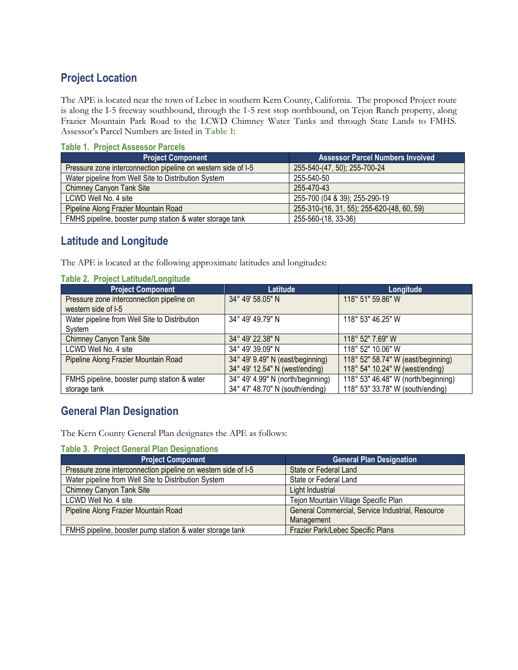# **Project Location** Project Location

The APE is located near the town of Lebec in southern Kern County, California. The proposed Project route The APE is located near the town of Lebec in southern Kern County, California. The proposed Project route is along the I-5 freeway southbound, through the 1-5 rest stop northbound, on Tejon Ranch property, along Frazier Mountain Park Road to the LCWD Chimney Water Tanks and through State Lands to FMHS. Frazier Mountain Park Road to the LCWD Chimney Water Tanks and through State Lands to FMHS. Assessor's Parcel Numbers are listed in **Table 1**: Assessor's Parcel Numbers are listed in Table 1:

### **Table 1. Project Assessor Parcels**  Table 1. Project Assessor Parcels

| <b>Project Component</b>                                      | <b>Assessor Parcel Numbers Involved</b>    |
|---------------------------------------------------------------|--------------------------------------------|
| Pressure zone interconnection pipeline on western side of I-5 | 255-540-(47, 50); 255-700-24               |
| Water pipeline from Well Site to Distribution System          | 255-540-50                                 |
| <b>Chimney Canyon Tank Site</b>                               | 255-470-43                                 |
| LCWD Well No. 4 site                                          | 255-700 (04 & 39); 255-290-19              |
| Pipeline Along Frazier Mountain Road                          | 255-310-(16, 31, 55); 255-620-(48, 60, 59) |
| FMHS pipeline, booster pump station & water storage tank      | 255-560-(18, 33-36)                        |

## **Latitude and Longitude** Latitude and Longitude

The APE is located at the following approximate latitudes and longitudes: The APE is located at the following approximate latitudes and longitudes:

| <b>Table 2. Project Latitude/Longitude</b>    |                                   |                                     |
|-----------------------------------------------|-----------------------------------|-------------------------------------|
| <b>Project Component</b>                      | Latitude                          | Longitude                           |
| Pressure zone interconnection pipeline on     | 34° 49' 58.05" N                  | 118° 51" 59.86" W                   |
| western side of I-5                           |                                   |                                     |
| Water pipeline from Well Site to Distribution | 34° 49' 49.79" N                  | 118° 53" 46.25" W                   |
| System                                        |                                   |                                     |
| Chimney Canyon Tank Site                      | 34° 49' 22.38" N                  | 118° 52" 7.69" W                    |
| LCWD Well No. 4 site                          | 34° 49' 39.09" N                  | 118° 52" 10.06" W                   |
| Pipeline Along Frazier Mountain Road          | 34° 49' 9.49" N (east/beginning)  | 118° 52" 58.74" W (east/beginning)  |
|                                               | 34° 49′ 12.54″ N (west/ending)    | 118° 54" 10.24" W (west/ending)     |
| FMHS pipeline, booster pump station & water   | 34° 49' 4.99" N (north/beginning) | 118° 53" 46.48" W (north/beginning) |
| storage tank                                  | 34° 47' 48.70" N (south/ending)   | 118° 53" 33.78" W (south/ending)    |

## **General Plan Designation** General Plan Designation

The Kern County General Plan designates the APE as follows: The Kern County General Plan designates the APE as follows:

#### **Table 3. Project General Plan Designations**

| <b>Project Component</b>                                      | <b>General Plan Designation</b>                  |
|---------------------------------------------------------------|--------------------------------------------------|
| Pressure zone interconnection pipeline on western side of I-5 | State or Federal Land                            |
| Water pipeline from Well Site to Distribution System          | State or Federal Land                            |
| Chimney Canyon Tank Site                                      | Light Industrial                                 |
| LCWD Well No. 4 site                                          | Tejon Mountain Village Specific Plan             |
| Pipeline Along Frazier Mountain Road                          | General Commercial, Service Industrial, Resource |
|                                                               | Management                                       |
| FMHS pipeline, booster pump station & water storage tank      | Frazier Park/Lebec Specific Plans                |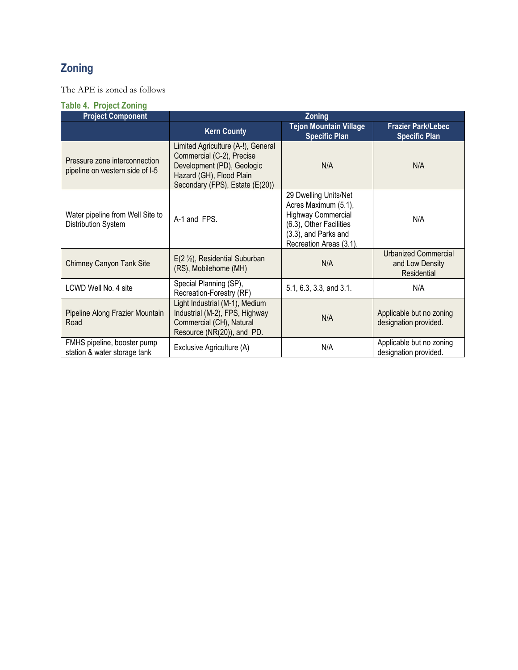## **Zoning** Zoning

The APE is zoned as follows The APE is zoned as follows

|  |  | <b>Table 4. Project Zoning</b> |
|--|--|--------------------------------|
|  |  |                                |

| <b>Project Component</b>                                         | Zoning                                                                                                                                                       |                                                                                                                                                          |                                                               |
|------------------------------------------------------------------|--------------------------------------------------------------------------------------------------------------------------------------------------------------|----------------------------------------------------------------------------------------------------------------------------------------------------------|---------------------------------------------------------------|
|                                                                  | <b>Kern County</b>                                                                                                                                           | <b>Tejon Mountain Village</b><br><b>Specific Plan</b>                                                                                                    | <b>Frazier Park/Lebec</b><br><b>Specific Plan</b>             |
| Pressure zone interconnection<br>pipeline on western side of I-5 | Limited Agriculture (A-!), General<br>Commercial (C-2), Precise<br>Development (PD), Geologic<br>Hazard (GH), Flood Plain<br>Secondary (FPS), Estate (E(20)) | N/A                                                                                                                                                      | N/A                                                           |
| Water pipeline from Well Site to<br>Distribution System          | A-1 and FPS.                                                                                                                                                 | 29 Dwelling Units/Net<br>Acres Maximum (5.1),<br><b>Highway Commercial</b><br>(6.3), Other Facilities<br>(3.3), and Parks and<br>Recreation Areas (3.1). | N/A                                                           |
| Chimney Canyon Tank Site                                         | $E(2 \frac{1}{2})$ , Residential Suburban<br>(RS), Mobilehome (MH)                                                                                           | N/A                                                                                                                                                      | <b>Urbanized Commercial</b><br>and Low Density<br>Residential |
| LCWD Well No. 4 site                                             | Special Planning (SP),<br>Recreation-Forestry (RF)                                                                                                           | 5.1, 6.3, 3.3, and 3.1.                                                                                                                                  | N/A                                                           |
| Pipeline Along Frazier Mountain<br>Road                          | Light Industrial (M-1), Medium<br>Industrial (M-2), FPS, Highway<br>Commercial (CH), Natural<br>Resource (NR(20)), and PD.                                   | N/A                                                                                                                                                      | Applicable but no zoning<br>designation provided.             |
| FMHS pipeline, booster pump<br>station & water storage tank      | Exclusive Agriculture (A)                                                                                                                                    | N/A                                                                                                                                                      | Applicable but no zoning<br>designation provided.             |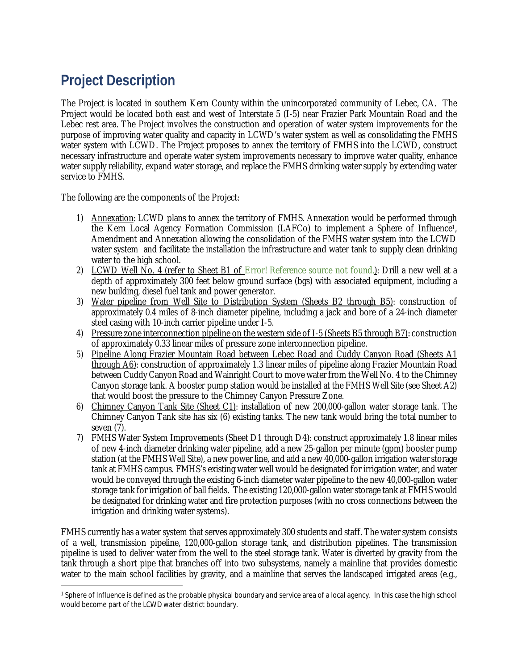# **Project Description** Project Description

The Project is located in southern Kern County within the unincorporated community of Lebec, CA. The The Project is located in southern Kern County within the unincorporated community of Lebec, CA. The Project would be located both east and west of Interstate 5 (I-5) near Frazier Park Mountain Road and the Project would be located both east and west of Interstate <sup>5</sup> (1—5) near Frazier Park Mountain Road and the Lebec rest area. The Project involves the construction and operation of water system improvements for the Lebec rest area. The Project involves the construction and operation of water system improvements for the purpose of improving water quality and capacity in LCWD's water system as well as consolidating the FMHS purpose of improving water quality and capacity in LCWD's water system as well as consolidating the FMHS water system with LCWD. The Project proposes to annex the territory of FMHS into the LCWD, construct necessary infrastructure and operate water system improvements necessary to improve water quality, enhance necessary infrastructure and operate water system improvements necessary to improve water quality, enhance water supply reliability, expand water storage, and replace the FMHS drinking water supply by extending water water supply reliability, expand water storage, and replace the FlVlHS drinking water supply by extending water service to FMHS. service to FMHS.

The following are the components of the Project: The following are the components of the Project:

- 1) Annexation: LCWD plans to annex the territory of FMHS. Annexation would be performed through the Kern Local Agency Formation Commission (LAFCo) to implement a Sphere of Influence1, the Kern Local Agency Formation Commission (LAFCo) to implement <sup>a</sup> Sphere of Influencel, Amendment and Annexation allowing the consolidation of the FMHS water system into the LCWD Amendment and Annexation allowing the consolidation of the FMHS water system into the LCWD water system and facilitate the installation the infrastructure and water tank to supply clean drinking water system and facilitate the installation the infrastructure and water tank to supply clean drinking water to the high school. water to the high school.
- 2) LCWD Well No. 4 (refer to Sheet B1 of Error! Reference source not found.): Drill a new well at a depth of approximately 300 feet below ground surface (bgs) with associated equipment, including a depth of approximately 300 feet below ground surface (bgs) with associated equipment, including <sup>a</sup> new building, diesel fuel tank and power generator. new building, diesel fuel tank and power generator.
- 3) Water pipeline from Well Site to Distribution System (Sheets B2 through B5): construction of 3) Water pipeline from Well Site to Distribution Svstem (Sheets B2 through B5): construction of approximately 0.4 miles of 8-inch diameter pipeline, including a jack and bore of a 24-inch diameter approximately 0.4 miles of 8—inch diameter pipeline, including <sup>a</sup> jack and bore of <sup>a</sup> 24—inch diameter steel casing with 10-inch carrier pipeline under I-5. steel casing with 10—inch carrier pipeline under 1—5.
- 4) Pressure zone interconnection pipeline on the western side of I-5 (Sheets B5 through B7)*:* construction 4) Pressure zone interconnection pipeline on the western side of 1—5 (Sheets B5 through B7): construction of approximately 0.33 linear miles of pressure zone interconnection pipeline. of approximately 0.33 linear miles of pressure zone interconnection pipeline.
- 5) Pipeline Along Frazier Mountain Road between Lebec Road and Cuddy Canyon Road (Sheets A1 through A6): construction of approximately 1.3 linear miles of pipeline along Frazier Mountain Road between Cuddy Canyon Road and Wainright Court to move water from the Well No. 4 to the Chimney between Cuddy Canyon Road and Wainright Court to move water from the Well No. 4 to the Chimney Canyon storage tank. A booster pump station would be installed at the FMHS Well Site (see Sheet A2) Canyon storage tank. A booster pump station would be installed at the FlVlHS Well Site (see Sheet A2) that would boost the pressure to the Chimney Canyon Pressure Zone. that would boost the pressure to the Chimney Canyon Pressure Zone.
- 6) Chimney Canyon Tank Site (Sheet C1): installation of new 200,000-gallon water storage tank. The Chimney Canyon Tank site has six (6) existing tanks. The new tank would bring the total number to Chimney Canyon Tank site has six (6) existing tanks. The new tank would bring the total number to seven (7). seven (7).
- 7) FMHS Water System Improvements (Sheet D1 through D4): construct approximately 1.8 linear miles of new 4-inch diameter drinking water pipeline, add a new 25-gallon per minute (gpm) booster pump of new 4—inch diameter drinking water pipeline, add <sup>a</sup> new 25—gallon per minute (gpm) booster pump station (at the FMHS Well Site), a new power line, and add a new 40,000-gallon irrigation water storage station (at the FMHS Well Site), <sup>a</sup> new power line, and add a new 40,000—gallon irrigation water storage tank at FMHS campus. FMHS's existing water well would be designated for irrigation water, and water tank at FMHS campus. FMHS's existing water well would be designated for irrigation water, and water would be conveyed through the existing 6-inch diameter water pipeline to the new 40,000-gallon water would be conveyed through the existing 6—inch diameter water pipeline to the new 40,000—gallon water storage tank for irrigation of ball fields. The existing 120,000-gallon water storage tank at FMHS would be designated for drinking water and fire protection purposes (with no cross connections between the be designated for drinking water and fire protection purposes (with no cross connections between the irrigation and drinking water systems). irrigation and drinking water systems).

FMHS currently has a water system that serves approximately 300 students and staff. The water system consists FlVlHS currently has a water system that serves approximately 300 students and staff. The water system consists of a well, transmission pipeline, 120,000-gallon storage tank, and distribution pipelines. The transmission of <sup>a</sup> well, transmission pipeline, 120,000—gallon storage tank, and distribution pipelines. The transmission pipeline is used to deliver water from the well to the steel storage tank. Water is diverted by gravity from the tank through a short pipe that branches off into two subsystems, namely a mainline that provides domestic tank through <sup>a</sup> short pipe that branches off into two subsystems, namely <sup>a</sup> mainline that provides domestic water to the main school facilities by gravity, and a mainline that serves the landscaped irrigated areas (e.g.,

<sup>&</sup>lt;sup>1</sup> Sphere of Influence is defined as the probable physical boundary and service area of a local agency. In this case the high school would become part of the LCWD water district boundary. would become partof the LCWD water district boundary.